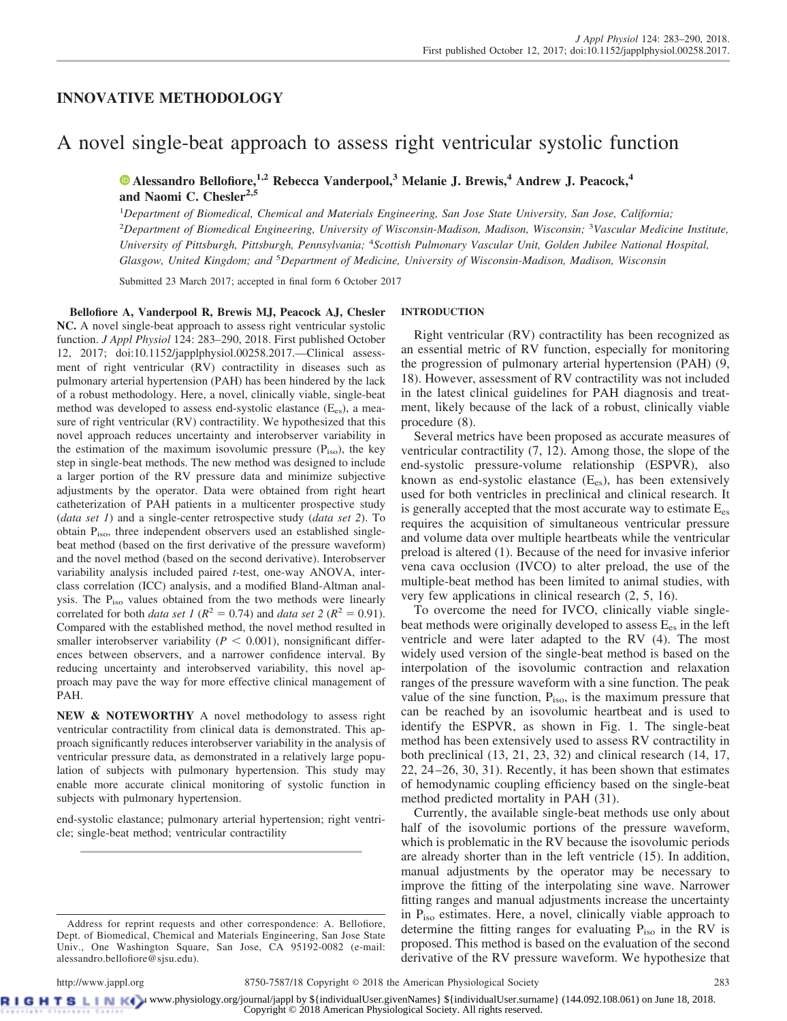# **INNOVATIVE METHODOLOGY**

# A novel single-beat approach to assess right ventricular systolic function

**X [Alessandro Bellofiore,](https://orcid.org/0000-0002-1378-1913)1,2 Rebecca Vanderpool,<sup>3</sup> Melanie J. Brewis,<sup>4</sup> Andrew J. Peacock,<sup>4</sup> and Naomi C. Chesler2,5**

1 *Department of Biomedical, Chemical and Materials Engineering, San Jose State University, San Jose, California;* 2 *Department of Biomedical Engineering, University of Wisconsin-Madison, Madison, Wisconsin;* <sup>3</sup> *Vascular Medicine Institute, University of Pittsburgh, Pittsburgh, Pennsylvania;* <sup>4</sup> *Scottish Pulmonary Vascular Unit, Golden Jubilee National Hospital, Glasgow, United Kingdom; and* <sup>5</sup> *Department of Medicine, University of Wisconsin-Madison, Madison, Wisconsin*

Submitted 23 March 2017; accepted in final form 6 October 2017

**Bellofiore A, Vanderpool R, Brewis MJ, Peacock AJ, Chesler NC.** A novel single-beat approach to assess right ventricular systolic function. *J Appl Physiol* 124: 283–290, 2018. First published October 12, 2017; doi[:10.1152/japplphysiol.00258.2017.](http://doi.org/10.1152/japplphysiol.00258.2017)—Clinical assessment of right ventricular (RV) contractility in diseases such as pulmonary arterial hypertension (PAH) has been hindered by the lack of a robust methodology. Here, a novel, clinically viable, single-beat method was developed to assess end-systolic elastance  $(E_{es})$ , a measure of right ventricular (RV) contractility. We hypothesized that this novel approach reduces uncertainty and interobserver variability in the estimation of the maximum isovolumic pressure  $(P_{iso})$ , the key step in single-beat methods. The new method was designed to include a larger portion of the RV pressure data and minimize subjective adjustments by the operator. Data were obtained from right heart catheterization of PAH patients in a multicenter prospective study (*data set 1*) and a single-center retrospective study (*data set 2*). To obtain Piso, three independent observers used an established singlebeat method (based on the first derivative of the pressure waveform) and the novel method (based on the second derivative). Interobserver variability analysis included paired *t*-test, one-way ANOVA, interclass correlation (ICC) analysis, and a modified Bland-Altman analysis. The Piso values obtained from the two methods were linearly correlated for both *data set 1* ( $R^2 = 0.74$ ) and *data set 2* ( $R^2 = 0.91$ ). Compared with the established method, the novel method resulted in smaller interobserver variability ( $P < 0.001$ ), nonsignificant differences between observers, and a narrower confidence interval. By reducing uncertainty and interobserved variability, this novel approach may pave the way for more effective clinical management of PAH.

**NEW & NOTEWORTHY** A novel methodology to assess right ventricular contractility from clinical data is demonstrated. This approach significantly reduces interobserver variability in the analysis of ventricular pressure data, as demonstrated in a relatively large population of subjects with pulmonary hypertension. This study may enable more accurate clinical monitoring of systolic function in subjects with pulmonary hypertension.

end-systolic elastance; pulmonary arterial hypertension; right ventricle; single-beat method; ventricular contractility

# **INTRODUCTION**

Right ventricular (RV) contractility has been recognized as an essential metric of RV function, especially for monitoring the progression of pulmonary arterial hypertension (PAH) (9, 18). However, assessment of RV contractility was not included in the latest clinical guidelines for PAH diagnosis and treatment, likely because of the lack of a robust, clinically viable procedure (8).

Several metrics have been proposed as accurate measures of ventricular contractility (7, 12). Among those, the slope of the end-systolic pressure-volume relationship (ESPVR), also known as end-systolic elastance  $(E_{es})$ , has been extensively used for both ventricles in preclinical and clinical research. It is generally accepted that the most accurate way to estimate  $E_{es}$ requires the acquisition of simultaneous ventricular pressure and volume data over multiple heartbeats while the ventricular preload is altered (1). Because of the need for invasive inferior vena cava occlusion (IVCO) to alter preload, the use of the multiple-beat method has been limited to animal studies, with very few applications in clinical research (2, 5, 16).

To overcome the need for IVCO, clinically viable singlebeat methods were originally developed to assess  $E_{es}$  in the left ventricle and were later adapted to the RV (4). The most widely used version of the single-beat method is based on the interpolation of the isovolumic contraction and relaxation ranges of the pressure waveform with a sine function. The peak value of the sine function,  $P_{\text{iso}}$ , is the maximum pressure that can be reached by an isovolumic heartbeat and is used to identify the ESPVR, as shown in Fig. 1. The single-beat method has been extensively used to assess RV contractility in both preclinical (13, 21, 23, 32) and clinical research (14, 17, 22, 24 –26, 30, 31). Recently, it has been shown that estimates of hemodynamic coupling efficiency based on the single-beat method predicted mortality in PAH (31).

Currently, the available single-beat methods use only about half of the isovolumic portions of the pressure waveform, which is problematic in the RV because the isovolumic periods are already shorter than in the left ventricle (15). In addition, manual adjustments by the operator may be necessary to improve the fitting of the interpolating sine wave. Narrower fitting ranges and manual adjustments increase the uncertainty in  $P_{iso}$  estimates. Here, a novel, clinically viable approach to determine the fitting ranges for evaluating  $P_{iso}$  in the RV is proposed. This method is based on the evaluation of the second derivative of the RV pressure waveform. We hypothesize that

**RIGHTSLINK**) www.physiology.org/journal/jappl by \${individualUser.givenNames} \${individualUser.surname} (144.092.108.061) on June 18, 2018. Copyright © 2018 American Physiological Society. All rights reserved.

Address for reprint requests and other correspondence: A. Bellofiore, Dept. of Biomedical, Chemical and Materials Engineering, San Jose State Univ., One Washington Square, San Jose, CA 95192-0082 (e-mail: [alessandro.bellofiore@sjsu.edu\)](mailto:alessandro.bellofiore@sjsu.edu).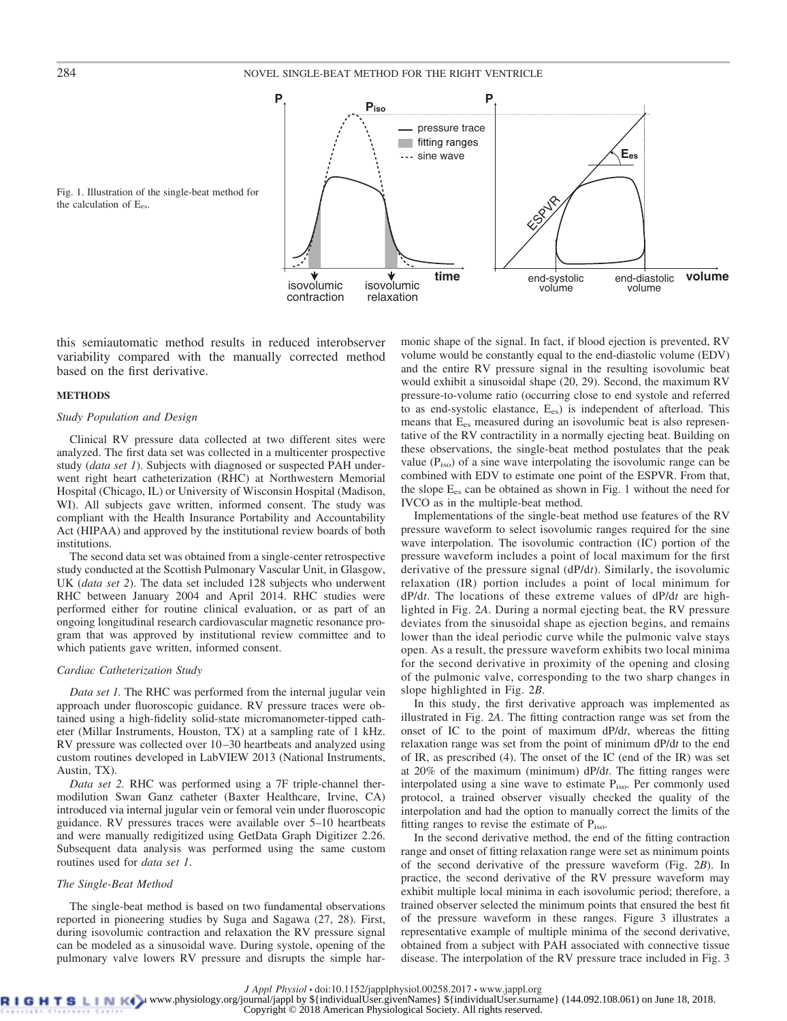

Fig. 1. Illustration of the single-beat method for the calculation of E<sub>es</sub>.

this semiautomatic method results in reduced interobserver variability compared with the manually corrected method based on the first derivative.

# **METHODS**

# *Study Population and Design*

Clinical RV pressure data collected at two different sites were analyzed. The first data set was collected in a multicenter prospective study (*data set 1*). Subjects with diagnosed or suspected PAH underwent right heart catheterization (RHC) at Northwestern Memorial Hospital (Chicago, IL) or University of Wisconsin Hospital (Madison, WI). All subjects gave written, informed consent. The study was compliant with the Health Insurance Portability and Accountability Act (HIPAA) and approved by the institutional review boards of both institutions.

The second data set was obtained from a single-center retrospective study conducted at the Scottish Pulmonary Vascular Unit, in Glasgow, UK (*data set 2*). The data set included 128 subjects who underwent RHC between January 2004 and April 2014. RHC studies were performed either for routine clinical evaluation, or as part of an ongoing longitudinal research cardiovascular magnetic resonance program that was approved by institutional review committee and to which patients gave written, informed consent.

# *Cardiac Catheterization Study*

*Data set 1.* The RHC was performed from the internal jugular vein approach under fluoroscopic guidance. RV pressure traces were obtained using a high-fidelity solid-state micromanometer-tipped catheter (Millar Instruments, Houston, TX) at a sampling rate of 1 kHz. RV pressure was collected over 10 –30 heartbeats and analyzed using custom routines developed in LabVIEW 2013 (National Instruments, Austin, TX).

*Data set 2.* RHC was performed using a 7F triple-channel thermodilution Swan Ganz catheter (Baxter Healthcare, Irvine, CA) introduced via internal jugular vein or femoral vein under fluoroscopic guidance. RV pressures traces were available over 5–10 heartbeats and were manually redigitized using GetData Graph Digitizer 2.26. Subsequent data analysis was performed using the same custom routines used for *data set 1*.

# *The Single-Beat Method*

The single-beat method is based on two fundamental observations reported in pioneering studies by Suga and Sagawa (27, 28). First, during isovolumic contraction and relaxation the RV pressure signal can be modeled as a sinusoidal wave. During systole, opening of the pulmonary valve lowers RV pressure and disrupts the simple harmonic shape of the signal. In fact, if blood ejection is prevented, RV volume would be constantly equal to the end-diastolic volume (EDV) and the entire RV pressure signal in the resulting isovolumic beat would exhibit a sinusoidal shape (20, 29). Second, the maximum RV pressure-to-volume ratio (occurring close to end systole and referred to as end-systolic elastance, Ees) is independent of afterload. This means that E<sub>es</sub> measured during an isovolumic beat is also representative of the RV contractility in a normally ejecting beat. Building on these observations, the single-beat method postulates that the peak value  $(P_{iso})$  of a sine wave interpolating the isovolumic range can be combined with EDV to estimate one point of the ESPVR. From that, the slope  $E_{es}$  can be obtained as shown in Fig. 1 without the need for IVCO as in the multiple-beat method.

Implementations of the single-beat method use features of the RV pressure waveform to select isovolumic ranges required for the sine wave interpolation. The isovolumic contraction (IC) portion of the pressure waveform includes a point of local maximum for the first derivative of the pressure signal (dP/d*t*). Similarly, the isovolumic relaxation (IR) portion includes a point of local minimum for dP/d*t*. The locations of these extreme values of dP/d*t* are highlighted in Fig. 2*A*. During a normal ejecting beat, the RV pressure deviates from the sinusoidal shape as ejection begins, and remains lower than the ideal periodic curve while the pulmonic valve stays open. As a result, the pressure waveform exhibits two local minima for the second derivative in proximity of the opening and closing of the pulmonic valve, corresponding to the two sharp changes in slope highlighted in Fig. 2*B*.

In this study, the first derivative approach was implemented as illustrated in Fig. 2*A*. The fitting contraction range was set from the onset of IC to the point of maximum dP/d*t*, whereas the fitting relaxation range was set from the point of minimum dP/d*t* to the end of IR, as prescribed (4). The onset of the IC (end of the IR) was set at 20% of the maximum (minimum) dP/d*t*. The fitting ranges were interpolated using a sine wave to estimate Piso. Per commonly used protocol, a trained observer visually checked the quality of the interpolation and had the option to manually correct the limits of the fitting ranges to revise the estimate of P<sub>iso</sub>.

In the second derivative method, the end of the fitting contraction range and onset of fitting relaxation range were set as minimum points of the second derivative of the pressure waveform (Fig. 2*B*). In practice, the second derivative of the RV pressure waveform may exhibit multiple local minima in each isovolumic period; therefore, a trained observer selected the minimum points that ensured the best fit of the pressure waveform in these ranges. Figure 3 illustrates a representative example of multiple minima of the second derivative, obtained from a subject with PAH associated with connective tissue disease. The interpolation of the RV pressure trace included in Fig. 3

*J Appl Physiol* • doi:10.1152/japplphysiol.00258.2017 • www.jappl.org<br>B L D Www.physiology.org/journal/jappl by \${individualUser.givenNames} \${individualUser.surname} (144.092.108.061) on June 18, 2018.

Copyright © 2018 American Physiological Society. All rights reserved.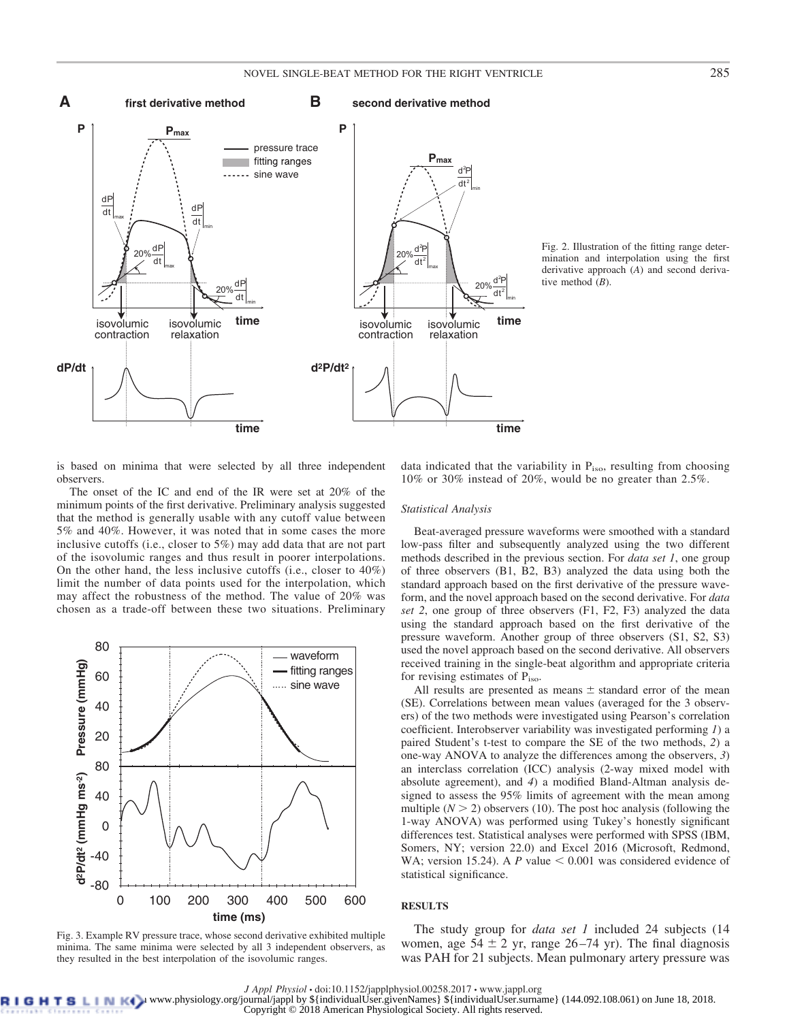

Fig. 2. Illustration of the fitting range determination and interpolation using the first derivative approach (*A*) and second derivative method (*B*).

is based on minima that were selected by all three independent observers.

The onset of the IC and end of the IR were set at 20% of the minimum points of the first derivative. Preliminary analysis suggested that the method is generally usable with any cutoff value between 5% and 40%. However, it was noted that in some cases the more inclusive cutoffs (i.e., closer to 5%) may add data that are not part of the isovolumic ranges and thus result in poorer interpolations. On the other hand, the less inclusive cutoffs (i.e., closer to 40%) limit the number of data points used for the interpolation, which may affect the robustness of the method. The value of 20% was chosen as a trade-off between these two situations. Preliminary



Fig. 3. Example RV pressure trace, whose second derivative exhibited multiple minima. The same minima were selected by all 3 independent observers, as they resulted in the best interpolation of the isovolumic ranges.

data indicated that the variability in  $P<sub>iso</sub>$ , resulting from choosing 10% or 30% instead of 20%, would be no greater than 2.5%.

# *Statistical Analysis*

Beat-averaged pressure waveforms were smoothed with a standard low-pass filter and subsequently analyzed using the two different methods described in the previous section. For *data set 1*, one group of three observers (B1, B2, B3) analyzed the data using both the standard approach based on the first derivative of the pressure waveform, and the novel approach based on the second derivative. For *data set 2*, one group of three observers (F1, F2, F3) analyzed the data using the standard approach based on the first derivative of the pressure waveform. Another group of three observers (S1, S2, S3) used the novel approach based on the second derivative. All observers received training in the single-beat algorithm and appropriate criteria for revising estimates of Piso.

All results are presented as means  $\pm$  standard error of the mean (SE). Correlations between mean values (averaged for the 3 observers) of the two methods were investigated using Pearson's correlation coefficient. Interobserver variability was investigated performing *1*) a paired Student's t-test to compare the SE of the two methods, *2*) a one-way ANOVA to analyze the differences among the observers, *3*) an interclass correlation (ICC) analysis (2-way mixed model with absolute agreement), and *4*) a modified Bland-Altman analysis designed to assess the 95% limits of agreement with the mean among multiple  $(N > 2)$  observers (10). The post hoc analysis (following the 1-way ANOVA) was performed using Tukey's honestly significant differences test. Statistical analyses were performed with SPSS (IBM, Somers, NY; version 22.0) and Excel 2016 (Microsoft, Redmond, WA; version 15.24). A  $P$  value  $\leq 0.001$  was considered evidence of statistical significance.

# **RESULTS**

The study group for *data set 1* included 24 subjects (14 women, age  $54 \pm 2$  yr, range  $26-74$  yr). The final diagnosis was PAH for 21 subjects. Mean pulmonary artery pressure was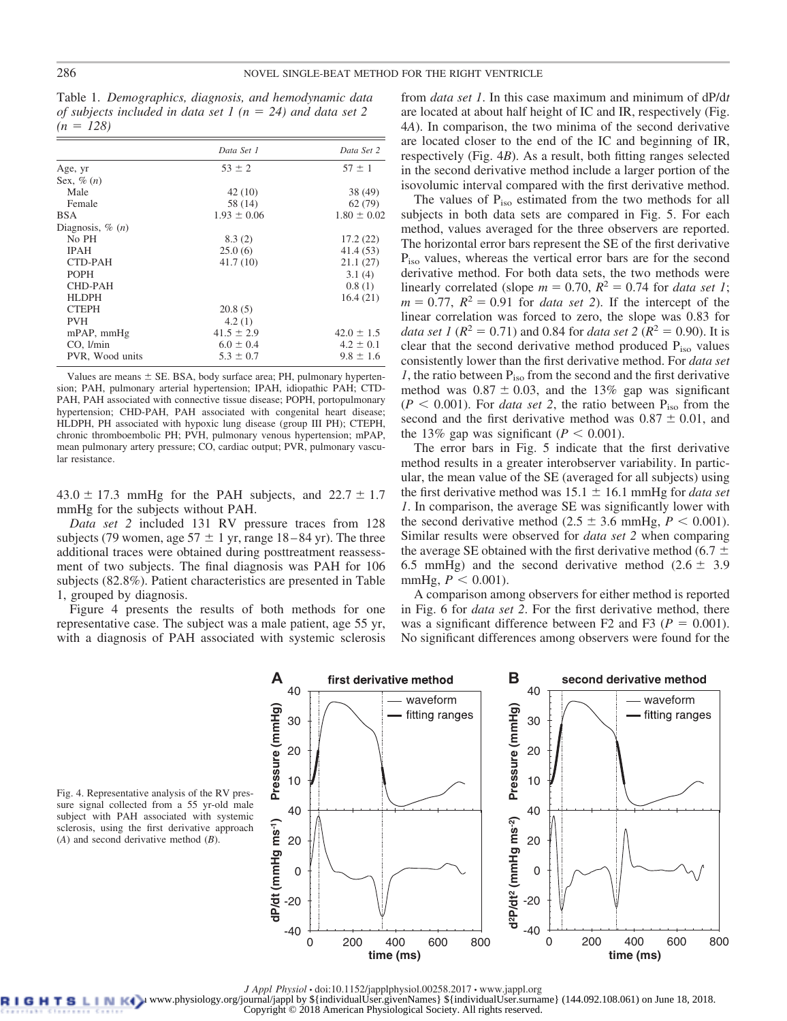Table 1. *Demographics, diagnosis, and hemodynamic data of subjects included in data set 1* ( $n = 24$ ) *and data set 2*  $(n = 128)$ 

|                              | Data Set 1      | Data Set 2      |
|------------------------------|-----------------|-----------------|
| Age, yr                      | $53 \pm 2$      | $57 \pm 1$      |
| Sex, $\%$ $(n)$              |                 |                 |
| Male                         | 42 (10)         | 38 (49)         |
| Female                       | 58 (14)         | 62(79)          |
| <b>BSA</b>                   | $1.93 \pm 0.06$ | $1.80 \pm 0.02$ |
| Diagnosis, $\%$ ( <i>n</i> ) |                 |                 |
| No PH                        | 8.3(2)          | 17.2(22)        |
| <b>IPAH</b>                  | 25.0(6)         | 41.4(53)        |
| CTD-PAH                      | 41.7(10)        | 21.1(27)        |
| <b>POPH</b>                  |                 | 3.1(4)          |
| CHD-PAH                      |                 | 0.8(1)          |
| HLDPH                        |                 | 16.4(21)        |
| <b>CTEPH</b>                 | 20.8(5)         |                 |
| <b>PVH</b>                   | 4.2(1)          |                 |
| mPAP, mmHg                   | $41.5 \pm 2.9$  | $42.0 \pm 1.5$  |
| CO, 1/min                    | $6.0 \pm 0.4$   | $4.2 \pm 0.1$   |
| PVR, Wood units              | $5.3 \pm 0.7$   | $9.8 \pm 1.6$   |

Values are means  $\pm$  SE. BSA, body surface area; PH, pulmonary hypertension; PAH, pulmonary arterial hypertension; IPAH, idiopathic PAH; CTD-PAH, PAH associated with connective tissue disease; POPH, portopulmonary hypertension; CHD-PAH, PAH associated with congenital heart disease; HLDPH, PH associated with hypoxic lung disease (group III PH); CTEPH, chronic thromboembolic PH; PVH, pulmonary venous hypertension; mPAP, mean pulmonary artery pressure; CO, cardiac output; PVR, pulmonary vascular resistance.

 $43.0 \pm 17.3$  mmHg for the PAH subjects, and  $22.7 \pm 1.7$ mmHg for the subjects without PAH.

*Data set 2* included 131 RV pressure traces from 128 subjects (79 women, age  $57 \pm 1$  yr, range  $18-84$  yr). The three additional traces were obtained during posttreatment reassessment of two subjects. The final diagnosis was PAH for 106 subjects (82.8%). Patient characteristics are presented in Table 1, grouped by diagnosis.

Figure 4 presents the results of both methods for one representative case. The subject was a male patient, age 55 yr, with a diagnosis of PAH associated with systemic sclerosis

from *data set 1*. In this case maximum and minimum of dP/d*t* are located at about half height of IC and IR, respectively (Fig. 4*A*). In comparison, the two minima of the second derivative are located closer to the end of the IC and beginning of IR, respectively (Fig. 4*B*). As a result, both fitting ranges selected in the second derivative method include a larger portion of the isovolumic interval compared with the first derivative method.

The values of  $P_{iso}$  estimated from the two methods for all subjects in both data sets are compared in Fig. 5. For each method, values averaged for the three observers are reported. The horizontal error bars represent the SE of the first derivative P<sub>iso</sub> values, whereas the vertical error bars are for the second derivative method. For both data sets, the two methods were linearly correlated (slope  $m = 0.70$ ,  $R^2 = 0.74$  for *data set 1*;  $m = 0.77$ ,  $R^2 = 0.91$  for *data set 2*). If the intercept of the linear correlation was forced to zero, the slope was 0.83 for *data set 1* ( $R^2 = 0.71$ ) and 0.84 for *data set* 2 ( $R^2 = 0.90$ ). It is clear that the second derivative method produced  $P_{iso}$  values consistently lower than the first derivative method. For *data set*  $1$ , the ratio between  $P_{iso}$  from the second and the first derivative method was  $0.87 \pm 0.03$ , and the 13% gap was significant  $(P < 0.001)$ . For *data set 2*, the ratio between  $P_{iso}$  from the second and the first derivative method was  $0.87 \pm 0.01$ , and the 13% gap was significant ( $P < 0.001$ ).

The error bars in Fig. 5 indicate that the first derivative method results in a greater interobserver variability. In particular, the mean value of the SE (averaged for all subjects) using the first derivative method was  $15.1 \pm 16.1$  mmHg for *data set 1*. In comparison, the average SE was significantly lower with the second derivative method  $(2.5 \pm 3.6 \text{ mmHg}, P \le 0.001)$ . Similar results were observed for *data set 2* when comparing the average SE obtained with the first derivative method (6.7  $\pm$ 6.5 mmHg) and the second derivative method  $(2.6 \pm 3.9)$ mmHg,  $P < 0.001$ ).

A comparison among observers for either method is reported in Fig. 6 for *data set 2*. For the first derivative method, there was a significant difference between  $F2$  and  $F3$  ( $P = 0.001$ ). No significant differences among observers were found for the



Fig. 4. Representative analysis of the RV pressure signal collected from a 55 yr-old male subject with PAH associated with systemic sclerosis, using the first derivative approach (*A*) and second derivative method (*B*).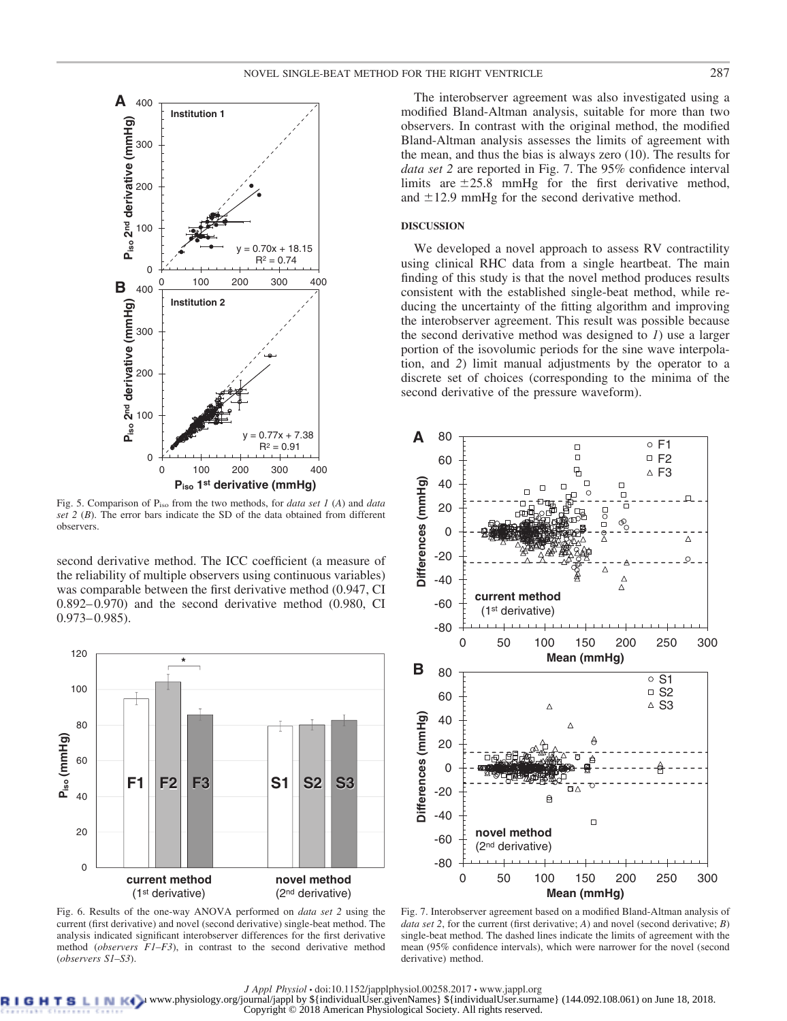

Fig. 5. Comparison of Piso from the two methods, for *data set 1* (*A*) and *data set 2* (*B*). The error bars indicate the SD of the data obtained from different observers.

second derivative method. The ICC coefficient (a measure of the reliability of multiple observers using continuous variables) was comparable between the first derivative method (0.947, CI 0.892– 0.970) and the second derivative method (0.980, CI  $0.973 - 0.985$ .



Fig. 6. Results of the one-way ANOVA performed on *data set 2* using the current (first derivative) and novel (second derivative) single-beat method. The analysis indicated significant interobserver differences for the first derivative method (*observers F1–F3*), in contrast to the second derivative method (*observers S1–S3*).

The interobserver agreement was also investigated using a modified Bland-Altman analysis, suitable for more than two observers. In contrast with the original method, the modified Bland-Altman analysis assesses the limits of agreement with the mean, and thus the bias is always zero (10). The results for *data set 2* are reported in Fig. 7. The 95% confidence interval limits are  $\pm 25.8$  mmHg for the first derivative method, and  $\pm 12.9$  mmHg for the second derivative method.

# **DISCUSSION**

We developed a novel approach to assess RV contractility using clinical RHC data from a single heartbeat. The main finding of this study is that the novel method produces results consistent with the established single-beat method, while reducing the uncertainty of the fitting algorithm and improving the interobserver agreement. This result was possible because the second derivative method was designed to *1*) use a larger portion of the isovolumic periods for the sine wave interpolation, and *2*) limit manual adjustments by the operator to a discrete set of choices (corresponding to the minima of the second derivative of the pressure waveform).



Fig. 7. Interobserver agreement based on a modified Bland-Altman analysis of *data set 2*, for the current (first derivative; *A*) and novel (second derivative; *B*) single-beat method. The dashed lines indicate the limits of agreement with the mean (95% confidence intervals), which were narrower for the novel (second derivative) method.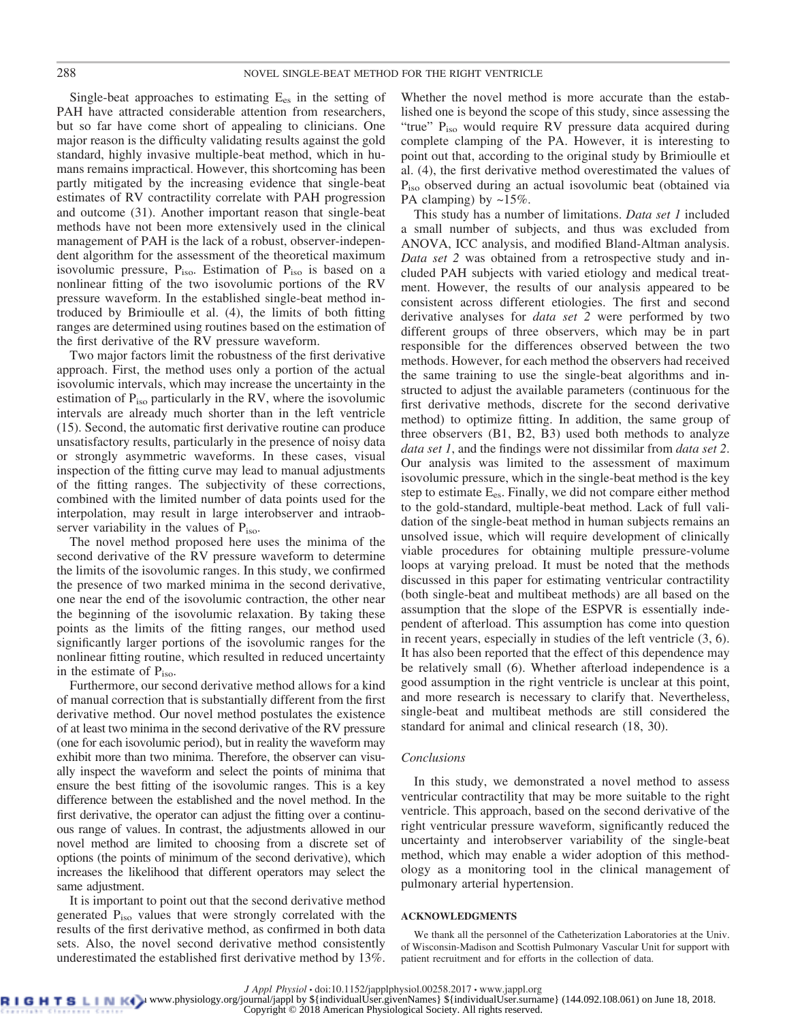Single-beat approaches to estimating  $E_{es}$  in the setting of PAH have attracted considerable attention from researchers, but so far have come short of appealing to clinicians. One major reason is the difficulty validating results against the gold standard, highly invasive multiple-beat method, which in humans remains impractical. However, this shortcoming has been partly mitigated by the increasing evidence that single-beat estimates of RV contractility correlate with PAH progression and outcome (31). Another important reason that single-beat methods have not been more extensively used in the clinical management of PAH is the lack of a robust, observer-independent algorithm for the assessment of the theoretical maximum isovolumic pressure, P<sub>iso</sub>. Estimation of P<sub>iso</sub> is based on a nonlinear fitting of the two isovolumic portions of the RV pressure waveform. In the established single-beat method introduced by Brimioulle et al. (4), the limits of both fitting ranges are determined using routines based on the estimation of the first derivative of the RV pressure waveform.

Two major factors limit the robustness of the first derivative approach. First, the method uses only a portion of the actual isovolumic intervals, which may increase the uncertainty in the estimation of  $P_{iso}$  particularly in the RV, where the isovolumic intervals are already much shorter than in the left ventricle (15). Second, the automatic first derivative routine can produce unsatisfactory results, particularly in the presence of noisy data or strongly asymmetric waveforms. In these cases, visual inspection of the fitting curve may lead to manual adjustments of the fitting ranges. The subjectivity of these corrections, combined with the limited number of data points used for the interpolation, may result in large interobserver and intraobserver variability in the values of  $P_{\text{iso}}$ .

The novel method proposed here uses the minima of the second derivative of the RV pressure waveform to determine the limits of the isovolumic ranges. In this study, we confirmed the presence of two marked minima in the second derivative, one near the end of the isovolumic contraction, the other near the beginning of the isovolumic relaxation. By taking these points as the limits of the fitting ranges, our method used significantly larger portions of the isovolumic ranges for the nonlinear fitting routine, which resulted in reduced uncertainty in the estimate of  $P_{iso}$ .

Furthermore, our second derivative method allows for a kind of manual correction that is substantially different from the first derivative method. Our novel method postulates the existence of at least two minima in the second derivative of the RV pressure (one for each isovolumic period), but in reality the waveform may exhibit more than two minima. Therefore, the observer can visually inspect the waveform and select the points of minima that ensure the best fitting of the isovolumic ranges. This is a key difference between the established and the novel method. In the first derivative, the operator can adjust the fitting over a continuous range of values. In contrast, the adjustments allowed in our novel method are limited to choosing from a discrete set of options (the points of minimum of the second derivative), which increases the likelihood that different operators may select the same adjustment.

It is important to point out that the second derivative method generated Piso values that were strongly correlated with the results of the first derivative method, as confirmed in both data sets. Also, the novel second derivative method consistently underestimated the established first derivative method by 13%.

Whether the novel method is more accurate than the established one is beyond the scope of this study, since assessing the "true" P<sub>iso</sub> would require RV pressure data acquired during complete clamping of the PA. However, it is interesting to point out that, according to the original study by Brimioulle et al. (4), the first derivative method overestimated the values of P<sub>iso</sub> observed during an actual isovolumic beat (obtained via PA clamping) by  $\sim 15\%$ .

This study has a number of limitations. *Data set 1* included a small number of subjects, and thus was excluded from ANOVA, ICC analysis, and modified Bland-Altman analysis. *Data set 2* was obtained from a retrospective study and included PAH subjects with varied etiology and medical treatment. However, the results of our analysis appeared to be consistent across different etiologies. The first and second derivative analyses for *data set 2* were performed by two different groups of three observers, which may be in part responsible for the differences observed between the two methods. However, for each method the observers had received the same training to use the single-beat algorithms and instructed to adjust the available parameters (continuous for the first derivative methods, discrete for the second derivative method) to optimize fitting. In addition, the same group of three observers (B1, B2, B3) used both methods to analyze *data set 1*, and the findings were not dissimilar from *data set 2*. Our analysis was limited to the assessment of maximum isovolumic pressure, which in the single-beat method is the key step to estimate Ees. Finally, we did not compare either method to the gold-standard, multiple-beat method. Lack of full validation of the single-beat method in human subjects remains an unsolved issue, which will require development of clinically viable procedures for obtaining multiple pressure-volume loops at varying preload. It must be noted that the methods discussed in this paper for estimating ventricular contractility (both single-beat and multibeat methods) are all based on the assumption that the slope of the ESPVR is essentially independent of afterload. This assumption has come into question in recent years, especially in studies of the left ventricle (3, 6). It has also been reported that the effect of this dependence may be relatively small (6). Whether afterload independence is a good assumption in the right ventricle is unclear at this point, and more research is necessary to clarify that. Nevertheless, single-beat and multibeat methods are still considered the standard for animal and clinical research (18, 30).

### *Conclusions*

In this study, we demonstrated a novel method to assess ventricular contractility that may be more suitable to the right ventricle. This approach, based on the second derivative of the right ventricular pressure waveform, significantly reduced the uncertainty and interobserver variability of the single-beat method, which may enable a wider adoption of this methodology as a monitoring tool in the clinical management of pulmonary arterial hypertension.

# **ACKNOWLEDGMENTS**

We thank all the personnel of the Catheterization Laboratories at the Univ. of Wisconsin-Madison and Scottish Pulmonary Vascular Unit for support with patient recruitment and for efforts in the collection of data.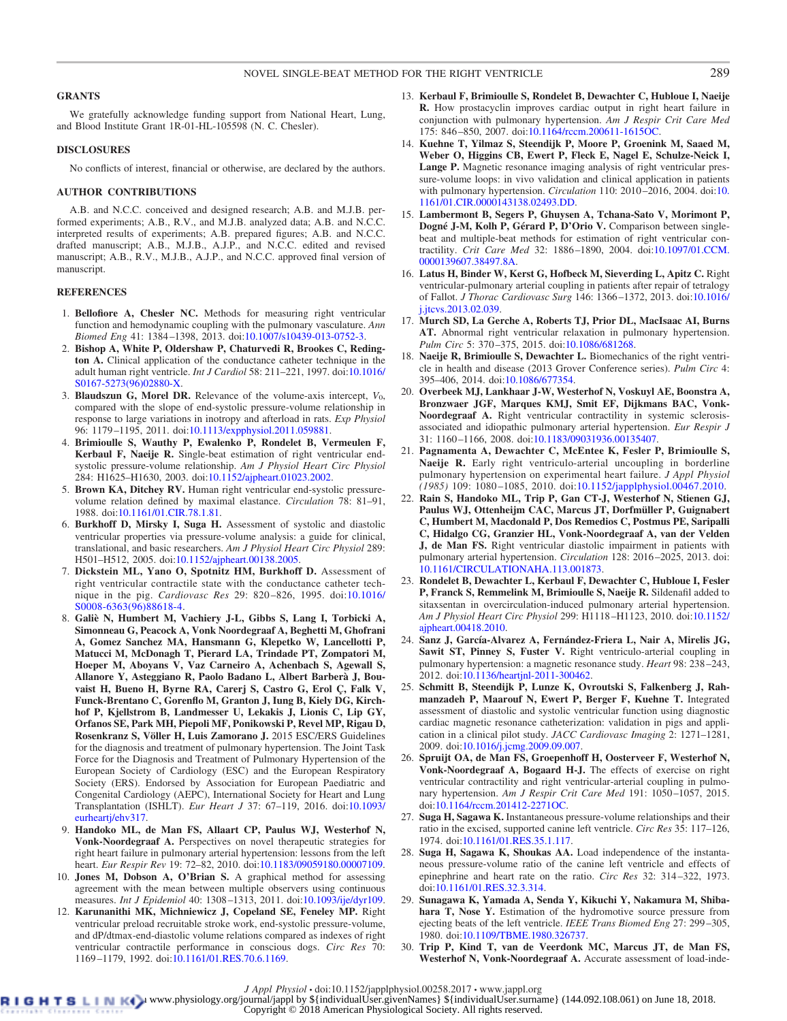# **GRANTS**

We gratefully acknowledge funding support from National Heart, Lung, and Blood Institute Grant 1R-01-HL-105598 (N. C. Chesler).

# **DISCLOSURES**

No conflicts of interest, financial or otherwise, are declared by the authors.

#### **AUTHOR CONTRIBUTIONS**

A.B. and N.C.C. conceived and designed research; A.B. and M.J.B. performed experiments; A.B., R.V., and M.J.B. analyzed data; A.B. and N.C.C. interpreted results of experiments; A.B. prepared figures; A.B. and N.C.C. drafted manuscript; A.B., M.J.B., A.J.P., and N.C.C. edited and revised manuscript; A.B., R.V., M.J.B., A.J.P., and N.C.C. approved final version of manuscript.

# **REFERENCES**

- 1. **Bellofiore A, Chesler NC.** Methods for measuring right ventricular function and hemodynamic coupling with the pulmonary vasculature. *Ann Biomed Eng* 41: 1384 –1398, 2013. doi[:10.1007/s10439-013-0752-3.](https://doi.org/10.1007/s10439-013-0752-3)
- 2. **Bishop A, White P, Oldershaw P, Chaturvedi R, Brookes C, Redington A.** Clinical application of the conductance catheter technique in the adult human right ventricle. *Int J Cardiol* 58: 211–221, 1997. doi[:10.1016/](https://doi.org/10.1016/S0167-5273%2896%2902880-X) [S0167-5273\(96\)02880-X.](https://doi.org/10.1016/S0167-5273%2896%2902880-X)
- 3. **Blaudszun G, Morel DR.** Relevance of the volume-axis intercept, *V*0, compared with the slope of end-systolic pressure-volume relationship in response to large variations in inotropy and afterload in rats. *Exp Physiol* 96: 1179 –1195, 2011. doi[:10.1113/expphysiol.2011.059881.](https://doi.org/10.1113/expphysiol.2011.059881)
- 4. **Brimioulle S, Wauthy P, Ewalenko P, Rondelet B, Vermeulen F, Kerbaul F, Naeije R.** Single-beat estimation of right ventricular endsystolic pressure-volume relationship. *Am J Physiol Heart Circ Physiol* 284: H1625–H1630, 2003. doi[:10.1152/ajpheart.01023.2002.](https://doi.org/10.1152/ajpheart.01023.2002)
- 5. **Brown KA, Ditchey RV.** Human right ventricular end-systolic pressurevolume relation defined by maximal elastance. *Circulation* 78: 81–91, 1988. doi[:10.1161/01.CIR.78.1.81.](https://doi.org/10.1161/01.CIR.78.1.81)
- 6. **Burkhoff D, Mirsky I, Suga H.** Assessment of systolic and diastolic ventricular properties via pressure-volume analysis: a guide for clinical, translational, and basic researchers. *Am J Physiol Heart Circ Physiol* 289: H501–H512, 2005. doi[:10.1152/ajpheart.00138.2005.](https://doi.org/10.1152/ajpheart.00138.2005)
- 7. **Dickstein ML, Yano O, Spotnitz HM, Burkhoff D.** Assessment of right ventricular contractile state with the conductance catheter technique in the pig. *Cardiovasc Res* 29: 820 –826, 1995. doi[:10.1016/](https://doi.org/10.1016/S0008-6363%2896%2988618-4) [S0008-6363\(96\)88618-4.](https://doi.org/10.1016/S0008-6363%2896%2988618-4)
- 8. **Galiè N, Humbert M, Vachiery J-L, Gibbs S, Lang I, Torbicki A, Simonneau G, Peacock A, Vonk Noordegraaf A, Beghetti M, Ghofrani A, Gomez Sanchez MA, Hansmann G, Klepetko W, Lancellotti P, Matucci M, McDonagh T, Pierard LA, Trindade PT, Zompatori M, Hoeper M, Aboyans V, Vaz Carneiro A, Achenbach S, Agewall S, Allanore Y, Asteggiano R, Paolo Badano L, Albert Barbera` J, Bouvaist H, Bueno H, Byrne RA, Carerj S, Castro G, Erol Ç, Falk V, Funck-Brentano C, Gorenflo M, Granton J, Iung B, Kiely DG, Kirchhof P, Kjellstrom B, Landmesser U, Lekakis J, Lionis C, Lip GY, Orfanos SE, Park MH, Piepoli MF, Ponikowski P, Revel MP, Rigau D, Rosenkranz S, Völler H, Luis Zamorano J.** 2015 ESC/ERS Guidelines for the diagnosis and treatment of pulmonary hypertension. The Joint Task Force for the Diagnosis and Treatment of Pulmonary Hypertension of the European Society of Cardiology (ESC) and the European Respiratory Society (ERS). Endorsed by Association for European Paediatric and Congenital Cardiology (AEPC), International Society for Heart and Lung Transplantation (ISHLT). *Eur Heart J* 37: 67–119, 2016. doi[:10.1093/](https://doi.org/10.1093/eurheartj/ehv317) [eurheartj/ehv317.](https://doi.org/10.1093/eurheartj/ehv317)
- 9. **Handoko ML, de Man FS, Allaart CP, Paulus WJ, Westerhof N, Vonk-Noordegraaf A.** Perspectives on novel therapeutic strategies for right heart failure in pulmonary arterial hypertension: lessons from the left heart. *Eur Respir Rev* 19: 72–82, 2010. doi[:10.1183/09059180.00007109.](https://doi.org/10.1183/09059180.00007109)
- 10. **Jones M, Dobson A, O'Brian S.** A graphical method for assessing agreement with the mean between multiple observers using continuous measures. *Int J Epidemiol* 40: 1308 –1313, 2011. doi[:10.1093/ije/dyr109.](https://doi.org/10.1093/ije/dyr109)
- 12. **Karunanithi MK, Michniewicz J, Copeland SE, Feneley MP.** Right ventricular preload recruitable stroke work, end-systolic pressure-volume, and dP/dtmax-end-diastolic volume relations compared as indexes of right ventricular contractile performance in conscious dogs. *Circ Res* 70: 1169 –1179, 1992. doi[:10.1161/01.RES.70.6.1169.](https://doi.org/10.1161/01.RES.70.6.1169)
- 13. **Kerbaul F, Brimioulle S, Rondelet B, Dewachter C, Hubloue I, Naeije R.** How prostacyclin improves cardiac output in right heart failure in conjunction with pulmonary hypertension. *Am J Respir Crit Care Med* 175: 846 –850, 2007. doi[:10.1164/rccm.200611-1615OC.](https://doi.org/10.1164/rccm.200611-1615OC)
- 14. **Kuehne T, Yilmaz S, Steendijk P, Moore P, Groenink M, Saaed M, Weber O, Higgins CB, Ewert P, Fleck E, Nagel E, Schulze-Neick I, Lange P.** Magnetic resonance imaging analysis of right ventricular pressure-volume loops: in vivo validation and clinical application in patients with pulmonary hypertension. *Circulation* 110: 2010 –2016, 2004. doi[:10.](https://doi.org/10.1161/01.CIR.0000143138.02493.DD) [1161/01.CIR.0000143138.02493.DD.](https://doi.org/10.1161/01.CIR.0000143138.02493.DD)
- 15. **Lambermont B, Segers P, Ghuysen A, Tchana-Sato V, Morimont P, Dogné J-M, Kolh P, Gérard P, D'Orio V.** Comparison between singlebeat and multiple-beat methods for estimation of right ventricular contractility. *Crit Care Med* 32: 1886 –1890, 2004. doi[:10.1097/01.CCM.](https://doi.org/10.1097/01.CCM.0000139607.38497.8A) [0000139607.38497.8A.](https://doi.org/10.1097/01.CCM.0000139607.38497.8A)
- 16. **Latus H, Binder W, Kerst G, Hofbeck M, Sieverding L, Apitz C.** Right ventricular-pulmonary arterial coupling in patients after repair of tetralogy of Fallot. *J Thorac Cardiovasc Surg* 146: 1366 –1372, 2013. doi[:10.1016/](https://doi.org/10.1016/j.jtcvs.2013.02.039) [j.jtcvs.2013.02.039.](https://doi.org/10.1016/j.jtcvs.2013.02.039)
- 17. **Murch SD, La Gerche A, Roberts TJ, Prior DL, MacIsaac AI, Burns AT.** Abnormal right ventricular relaxation in pulmonary hypertension. *Pulm Circ* 5: 370 –375, 2015. doi[:10.1086/681268.](https://doi.org/10.1086/681268)
- 18. **Naeije R, Brimioulle S, Dewachter L.** Biomechanics of the right ventricle in health and disease (2013 Grover Conference series). *Pulm Circ* 4: 395–406, 2014. doi[:10.1086/677354.](https://doi.org/10.1086/677354)
- 20. **Overbeek MJ, Lankhaar J-W, Westerhof N, Voskuyl AE, Boonstra A, Bronzwaer JGF, Marques KMJ, Smit EF, Dijkmans BAC, Vonk-Noordegraaf A.** Right ventricular contractility in systemic sclerosisassociated and idiopathic pulmonary arterial hypertension. *Eur Respir J* 31: 1160 –1166, 2008. doi[:10.1183/09031936.00135407.](https://doi.org/10.1183/09031936.00135407)
- 21. **Pagnamenta A, Dewachter C, McEntee K, Fesler P, Brimioulle S, Naeije R.** Early right ventriculo-arterial uncoupling in borderline pulmonary hypertension on experimental heart failure. *J Appl Physiol (1985)* 109: 1080 –1085, 2010. doi[:10.1152/japplphysiol.00467.2010.](https://doi.org/10.1152/japplphysiol.00467.2010)
- 22. **Rain S, Handoko ML, Trip P, Gan CT-J, Westerhof N, Stienen GJ, Paulus WJ, Ottenheijm CAC, Marcus JT, Dorfmüller P, Guignabert C, Humbert M, Macdonald P, Dos Remedios C, Postmus PE, Saripalli C, Hidalgo CG, Granzier HL, Vonk-Noordegraaf A, van der Velden J, de Man FS.** Right ventricular diastolic impairment in patients with pulmonary arterial hypertension. *Circulation* 128: 2016 –2025, 2013. doi: [10.1161/CIRCULATIONAHA.113.001873.](https://doi.org/10.1161/CIRCULATIONAHA.113.001873)
- 23. **Rondelet B, Dewachter L, Kerbaul F, Dewachter C, Hubloue I, Fesler P, Franck S, Remmelink M, Brimioulle S, Naeije R.** Sildenafil added to sitaxsentan in overcirculation-induced pulmonary arterial hypertension. *Am J Physiol Heart Circ Physiol* 299: H1118 –H1123, 2010. doi[:10.1152/](https://doi.org/10.1152/ajpheart.00418.2010) [ajpheart.00418.2010.](https://doi.org/10.1152/ajpheart.00418.2010)
- 24. **Sanz J, García-Alvarez A, Fernández-Friera L, Nair A, Mirelis JG, Sawit ST, Pinney S, Fuster V.** Right ventriculo-arterial coupling in pulmonary hypertension: a magnetic resonance study. *Heart* 98: 238 –243, 2012. doi[:10.1136/heartjnl-2011-300462.](https://doi.org/10.1136/heartjnl-2011-300462)
- 25. **Schmitt B, Steendijk P, Lunze K, Ovroutski S, Falkenberg J, Rahmanzadeh P, Maarouf N, Ewert P, Berger F, Kuehne T.** Integrated assessment of diastolic and systolic ventricular function using diagnostic cardiac magnetic resonance catheterization: validation in pigs and application in a clinical pilot study. *JACC Cardiovasc Imaging* 2: 1271–1281, 2009. doi[:10.1016/j.jcmg.2009.09.007.](https://doi.org/10.1016/j.jcmg.2009.09.007)
- 26. **Spruijt OA, de Man FS, Groepenhoff H, Oosterveer F, Westerhof N, Vonk-Noordegraaf A, Bogaard H-J.** The effects of exercise on right ventricular contractility and right ventricular-arterial coupling in pulmonary hypertension. Am J Respir Crit Care Med 191: 1050-1057, 2015. doi[:10.1164/rccm.201412-2271OC.](https://doi.org/10.1164/rccm.201412-2271OC)
- 27. **Suga H, Sagawa K.** Instantaneous pressure-volume relationships and their ratio in the excised, supported canine left ventricle. *Circ Res* 35: 117–126, 1974. doi[:10.1161/01.RES.35.1.117.](https://doi.org/10.1161/01.RES.35.1.117)
- 28. **Suga H, Sagawa K, Shoukas AA.** Load independence of the instantaneous pressure-volume ratio of the canine left ventricle and effects of epinephrine and heart rate on the ratio. *Circ Res* 32: 314 –322, 1973. doi[:10.1161/01.RES.32.3.314.](https://doi.org/10.1161/01.RES.32.3.314)
- 29. **Sunagawa K, Yamada A, Senda Y, Kikuchi Y, Nakamura M, Shibahara T, Nose Y.** Estimation of the hydromotive source pressure from ejecting beats of the left ventricle. *IEEE Trans Biomed Eng* 27: 299 –305, 1980. doi[:10.1109/TBME.1980.326737.](https://doi.org/10.1109/TBME.1980.326737)
- 30. **Trip P, Kind T, van de Veerdonk MC, Marcus JT, de Man FS, Westerhof N, Vonk-Noordegraaf A.** Accurate assessment of load-inde-